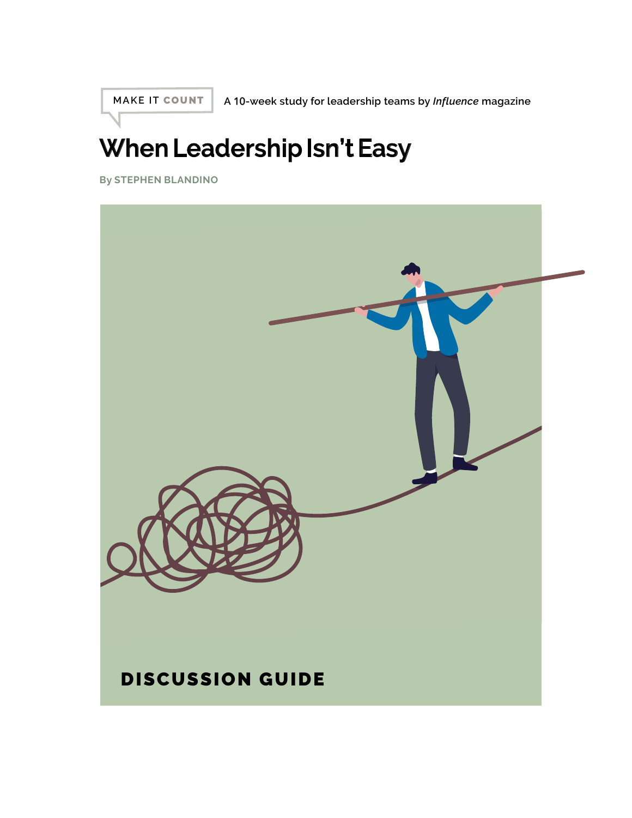**MAKE IT** COUNT

**A** 10**-week study for leadership teams by** *Influence* **magazine**

# **When Leadership Isn't Easy**

**By STEPHEN BLANDINO**

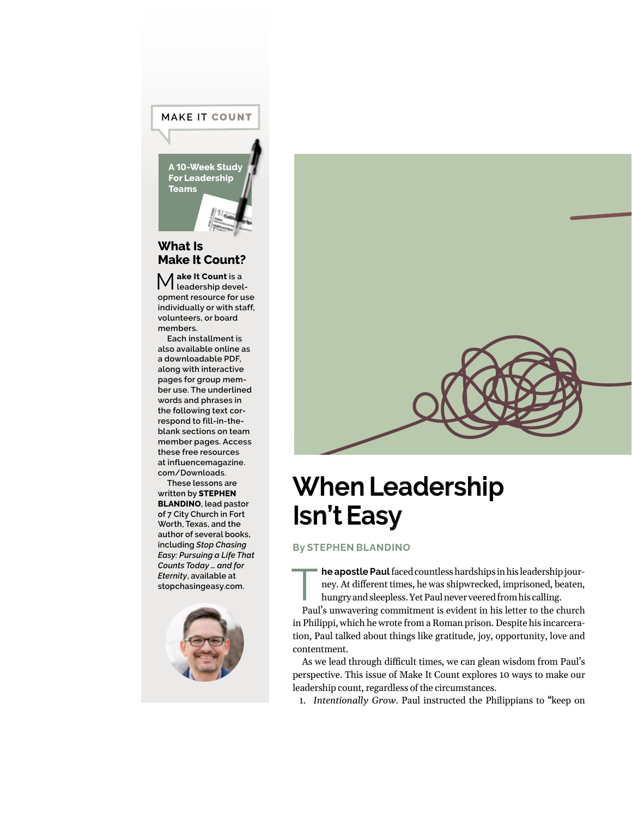#### **MAKE IT** COUNT

**A** 10**-Week Study For Leadership Teams**

#### **What Is Make It Count?**

M**ake It Count is a leadership development resource for use individually or with staff, volunteers, or board members.**

**Each installment is also available online as a downloadable PDF, along with interactive pages for group member use. The underlined words and phrases in the following text correspond to fill-in-theblank sections on team member pages. Access these free resources at [influencemagazine.](http://influencemagazine.com/Downloads) [com/Downloads.](http://influencemagazine.com/Downloads)**

**These lessons are written by STEPHEN BLANDINO, lead pastor of 7 City Church in Fort Worth, Texas, and the author of several books, including** *Stop Chasing Easy: Pursuing a Life That Counts Today … and for Eternity***, available at stopchasingeasy.com.**





# **When Leadership Isn't Easy**

**By STEPHEN BLANDINO**

**The apostle Paul** faced countless hardships in his leadership jour-<br>ney. At different times, he was shipwrecked, imprisoned, beaten,<br>hungry and sleepless. Yet Paul never veered from his calling. ney. At different times, he was shipwrecked, imprisoned, beaten, hungry and sleepless. Yet Paul never veered from his calling.

Paul's unwavering commitment is evident in his letter to the church in Philippi, which he wrote from a Roman prison. Despite his incarceration, Paul talked about things like gratitude, joy, opportunity, love and contentment.

As we lead through difficult times, we can glean wisdom from Paul's perspective. This issue of Make It Count explores 10 ways to make our leadership count, regardless of the circumstances.

1. *Intentionally Grow*. Paul instructed the Philippians to "keep on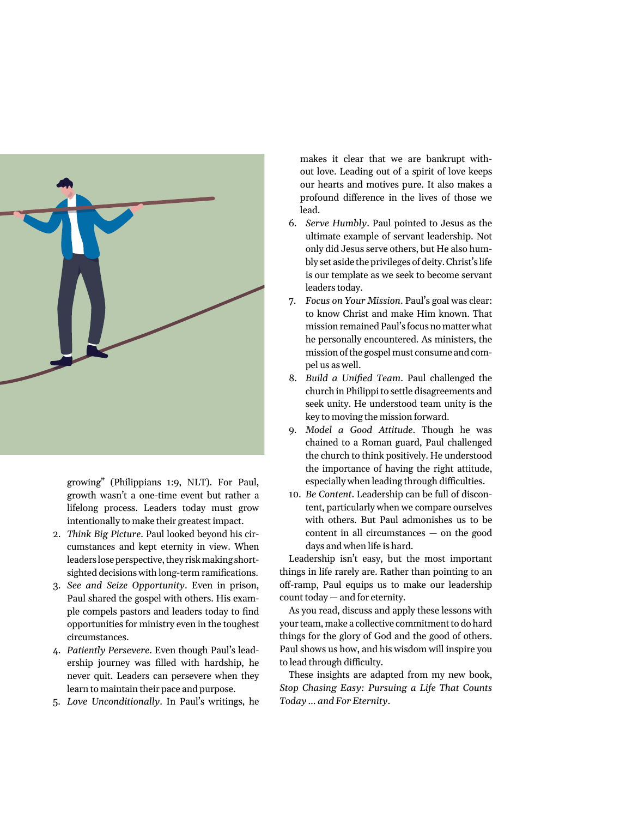

growing" (Philippians 1:9, NLT). For Paul, growth wasn't a one-time event but rather a lifelong process. Leaders today must grow intentionally to make their greatest impact.

- 2. *Think Big Picture*. Paul looked beyond his circumstances and kept eternity in view. When leaders lose perspective, they risk making shortsighted decisions with long-term ramifications.
- 3. *See and Seize Opportunity*. Even in prison, Paul shared the gospel with others. His example compels pastors and leaders today to find opportunities for ministry even in the toughest circumstances.
- 4. *Patiently Persevere*. Even though Paul's leadership journey was filled with hardship, he never quit. Leaders can persevere when they learn to maintain their pace and purpose.
- 5. *Love Unconditionally*. In Paul's writings, he

makes it clear that we are bankrupt without love. Leading out of a spirit of love keeps our hearts and motives pure. It also makes a profound difference in the lives of those we lead.

- 6. *Serve Humbly*. Paul pointed to Jesus as the ultimate example of servant leadership. Not only did Jesus serve others, but He also humbly set aside the privileges of deity. Christ's life is our template as we seek to become servant leaders today.
- 7. *Focus on Your Mission*. Paul's goal was clear: to know Christ and make Him known. That mission remained Paul's focus no matter what he personally encountered. As ministers, the mission of the gospel must consume and compel us as well.
- 8. *Build a Unified Team*. Paul challenged the church in Philippi to settle disagreements and seek unity. He understood team unity is the key to moving the mission forward.
- 9. *Model a Good Attitude*. Though he was chained to a Roman guard, Paul challenged the church to think positively. He understood the importance of having the right attitude, especially when leading through difficulties.
- 10. *Be Content*. Leadership can be full of discontent, particularly when we compare ourselves with others. But Paul admonishes us to be content in all circumstances — on the good days and when life is hard.

Leadership isn't easy, but the most important things in life rarely are. Rather than pointing to an off-ramp, Paul equips us to make our leadership count today — and for eternity.

As you read, discuss and apply these lessons with your team, make a collective commitment to do hard things for the glory of God and the good of others. Paul shows us how, and his wisdom will inspire you to lead through difficulty.

These insights are adapted from my new book, *Stop Chasing Easy: Pursuing a Life That Counts Today … and For Eternity*.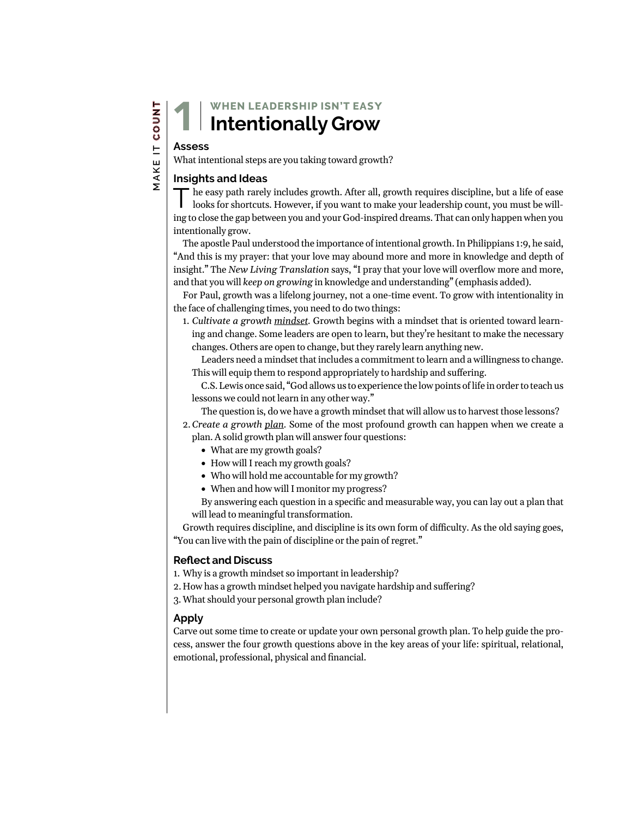### **WHEN LEADERSHIP ISN'T EA**SY **Intentionally Grow**

#### **Assess**

1

What intentional steps are you taking toward growth?

#### **Insights and Ideas**

The easy path rarely includes growth. After all, growth requires discipline, but a life of ease looks for shortcuts. However, if you want to make your leadership count, you must be willing to close the gap between you and your God-inspired dreams. That can only happen when you intentionally grow.

The apostle Paul understood the importance of intentional growth. In Philippians 1:9, he said, "And this is my prayer: that your love may abound more and more in knowledge and depth of insight." The *New Living Translation* says, "I pray that your love will overflow more and more, and that you will *keep on growing* in knowledge and understanding" (emphasis added).

For Paul, growth was a lifelong journey, not a one-time event. To grow with intentionality in the face of challenging times, you need to do two things:

1. *Cultivate a growth mindset.* Growth begins with a mindset that is oriented toward learning and change. Some leaders are open to learn, but they're hesitant to make the necessary changes. Others are open to change, but they rarely learn anything new.

Leaders need a mindset that includes a commitment to learn and a willingness to change. This will equip them to respond appropriately to hardship and suffering.

C.S. Lewis once said, "God allows us to experience the low points of life in order to teach us lessons we could not learn in any other way."

The question is, do we have a growth mindset that will allow us to harvest those lessons?

- 2.*Create a growth plan.* Some of the most profound growth can happen when we create a plan. A solid growth plan will answer four questions:
	- What are my growth goals?
	- How will I reach my growth goals?
	- Who will hold me accountable for my growth?
	- When and how will I monitor my progress?

By answering each question in a specific and measurable way, you can lay out a plan that will lead to meaningful transformation.

Growth requires discipline, and discipline is its own form of difficulty. As the old saying goes, "You can live with the pain of discipline or the pain of regret."

#### **Reflect and Discuss**

1. Why is a growth mindset so important in leadership?

2. How has a growth mindset helped you navigate hardship and suffering?

3.What should your personal growth plan include?

#### **Apply**

Carve out some time to create or update your own personal growth plan. To help guide the process, answer the four growth questions above in the key areas of your life: spiritual, relational, emotional, professional, physical and financial.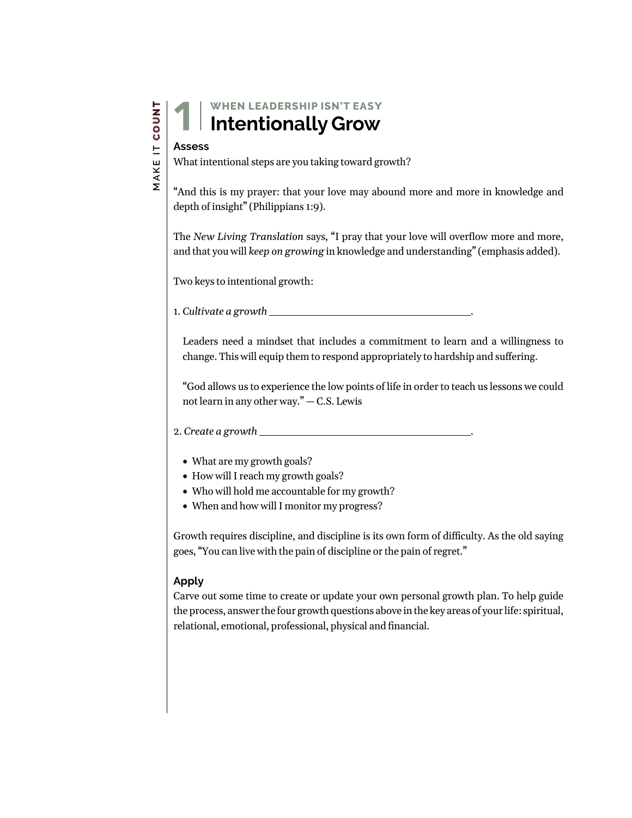### **WHEN LEADERSHIP ISN'T EA**SY **Intentionally Grow**

# **Assess** 1

What intentional steps are you taking toward growth?

"And this is my prayer: that your love may abound more and more in knowledge and depth of insight" (Philippians 1:9).

The *New Living Translation* says, "I pray that your love will overflow more and more, and that you will *keep on growing* in knowledge and understanding" (emphasis added).

Two keys to intentional growth:

1. *Cultivate a growth* .

Leaders need a mindset that includes a commitment to learn and a willingness to change. This will equip them to respond appropriately to hardship and suffering.

"God allows us to experience the low points of life in order to teach us lessons we could not learn in any other way." — C.S. Lewis

#### 2. *Create a growth* .

- What are my growth goals?
- How will I reach my growth goals?
- Who will hold me accountable for my growth?
- When and how will I monitor my progress?

Growth requires discipline, and discipline is its own form of difficulty. As the old saying goes, "You can live with the pain of discipline or the pain of regret."

#### **Apply**

Carve out some time to create or update your own personal growth plan. To help guide the process, answer the four growth questions above in the key areas of your life: spiritual, relational, emotional, professional, physical and financial.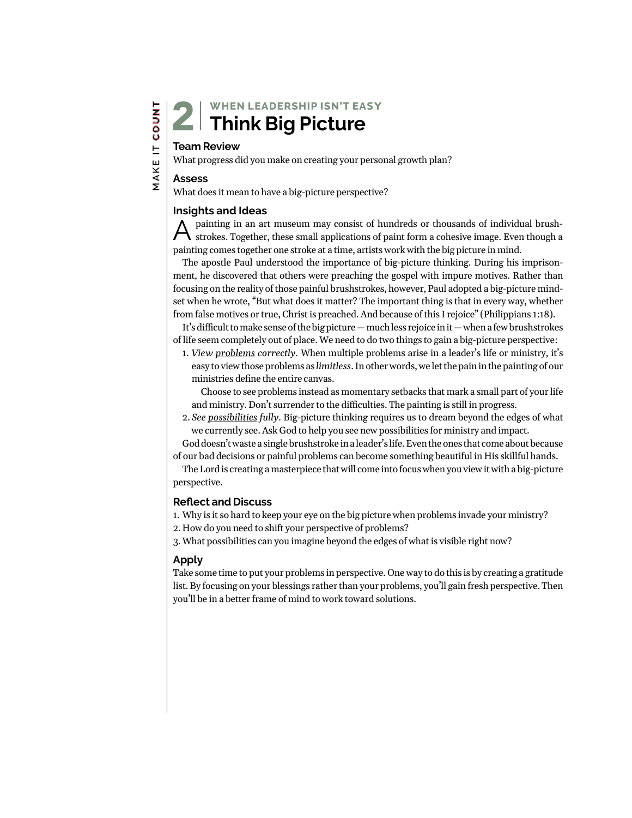#### **Team Review**

What progress did you make on creating your personal growth plan?

#### **Assess**

What does it mean to have a big-picture perspective?

#### **Insights and Ideas**

Apainting in an art museum may consist of hundreds or thousands of individual brush-strokes. Together, these small applications of paint form a cohesive image. Even though a painting comes together one stroke at a time, artists work with the big picture in mind.

The apostle Paul understood the importance of big-picture thinking. During his imprisonment, he discovered that others were preaching the gospel with impure motives. Rather than focusing on the reality of those painful brushstrokes, however, Paul adopted a big-picture mindset when he wrote, "But what does it matter? The important thing is that in every way, whether from false motives or true, Christ is preached. And because of this I rejoice" (Philippians 1:18).

It's difficult to make sense of the big picture — much less rejoice in it — when a few brushstrokes of life seem completely out of place. We need to do two things to gain a big-picture perspective:

1. *View problems correctly.* When multiple problems arise in a leader's life or ministry, it's easy to view those problems as *limitless*. In other words, we let the pain in the painting of our ministries define the entire canvas.

Choose to see problems instead as momentary setbacks that mark a small part of your life and ministry. Don't surrender to the difficulties. The painting is still in progress.

2. *See possibilities fully.* Big-picture thinking requires us to dream beyond the edges of what we currently see. Ask God to help you see new possibilities for ministry and impact.

God doesn't waste a single brushstroke in a leader's life. Even the ones that come about because of our bad decisions or painful problems can become something beautiful in His skillful hands.

The Lord is creating a masterpiece that will come into focus when you view it with a big-picture perspective.

#### **Reflect and Discuss**

1. Why is it so hard to keep your eye on the big picture when problems invade your ministry?

2. How do you need to shift your perspective of problems?

3.What possibilities can you imagine beyond the edges of what is visible right now?

#### **Apply**

Take some time to put your problems in perspective. One way to do this is by creating a gratitude list. By focusing on your blessings rather than your problems, you'll gain fresh perspective. Then you'll be in a better frame of mind to work toward solutions.

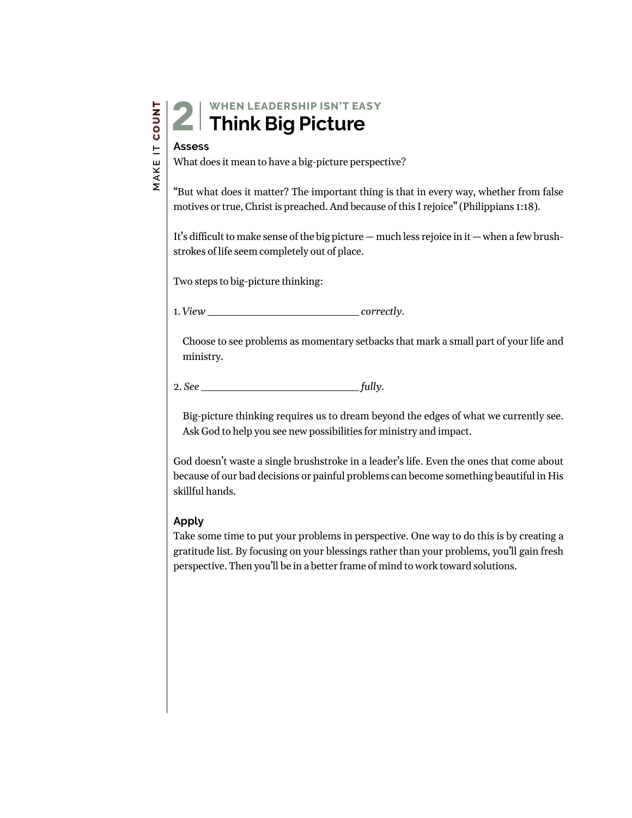| ۳                   |
|---------------------|
|                     |
| c<br>ŋ              |
| ω                   |
| ŀ                   |
| Ľ<br>L              |
| $\overline{ }$<br>٬ |
|                     |
|                     |

### **WHEN LEADERSHIP ISN'T EA**SY **2** Think Big Picture

#### **Assess**

What does it mean to have a big-picture perspective?

"But what does it matter? The important thing is that in every way, whether from false motives or true, Christ is preached. And because of this I rejoice" (Philippians 1:18).

It's difficult to make sense of the big picture — much less rejoice in it — when a few brushstrokes of life seem completely out of place.

Two steps to big-picture thinking:

1. *View correctly.*

Choose to see problems as momentary setbacks that mark a small part of your life and ministry.

2. *See fully.*

Big-picture thinking requires us to dream beyond the edges of what we currently see. Ask God to help you see new possibilities for ministry and impact.

God doesn't waste a single brushstroke in a leader's life. Even the ones that come about because of our bad decisions or painful problems can become something beautiful in His skillful hands.

#### **Apply**

Take some time to put your problems in perspective. One way to do this is by creating a gratitude list. By focusing on your blessings rather than your problems, you'll gain fresh perspective. Then you'll be in a better frame of mind to work toward solutions.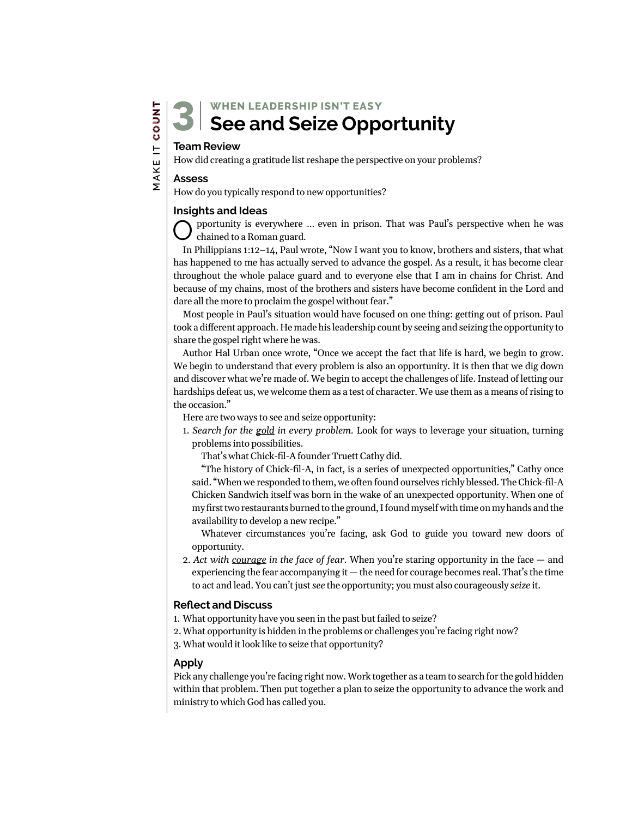**WHEN LEADERSHIP ISN'T EA**SY **See and Seize Opportunity**

## **Team Review** 3

How did creating a gratitude list reshape the perspective on your problems?

#### **Assess**

How do you typically respond to new opportunities?

#### **Insights and Ideas**

pportunity is everywhere ... even in prison. That was Paul's perspective when he was chained to a Roman guard.

In Philippians 1:12–14, Paul wrote, "Now I want you to know, brothers and sisters, that what has happened to me has actually served to advance the gospel. As a result, it has become clear throughout the whole palace guard and to everyone else that I am in chains for Christ. And because of my chains, most of the brothers and sisters have become confident in the Lord and dare all the more to proclaim the gospel without fear."

Most people in Paul's situation would have focused on one thing: getting out of prison. Paul took a different approach. He made his leadership count by seeing and seizing the opportunity to share the gospel right where he was.

Author Hal Urban once wrote, "Once we accept the fact that life is hard, we begin to grow. We begin to understand that every problem is also an opportunity. It is then that we dig down and discover what we're made of. We begin to accept the challenges of life. Instead of letting our hardships defeat us, we welcome them as a test of character. We use them as a means of rising to the occasion."

Here are two ways to see and seize opportunity:

1. *Search for the gold in every problem.* Look for ways to leverage your situation, turning problems into possibilities.

That's what Chick-fil-A founder Truett Cathy did.

"The history of Chick-fil-A, in fact, is a series of unexpected opportunities," Cathy once said. "When we responded to them, we often found ourselves richly blessed. The Chick-fil-A Chicken Sandwich itself was born in the wake of an unexpected opportunity. When one of my first two restaurants burned to the ground, I found myself with time on my hands and the availability to develop a new recipe."

Whatever circumstances you're facing, ask God to guide you toward new doors of opportunity.

2. *Act with courage in the face of fear.* When you're staring opportunity in the face — and experiencing the fear accompanying it — the need for courage becomes real. That's the time to act and lead. You can't just *see* the opportunity; you must also courageously *seize* it.

#### **Reflect and Discuss**

- 1. What opportunity have you seen in the past but failed to seize?
- 2.What opportunity is hidden in the problems or challenges you're facing right now?
- 3.What would it look like to seize that opportunity?

#### **Apply**

Pick any challenge you're facing right now. Work together as a team to search for the gold hidden within that problem. Then put together a plan to seize the opportunity to advance the work and ministry to which God has called you.

# MAKE IT COUNT  **MAKE IT COUNT**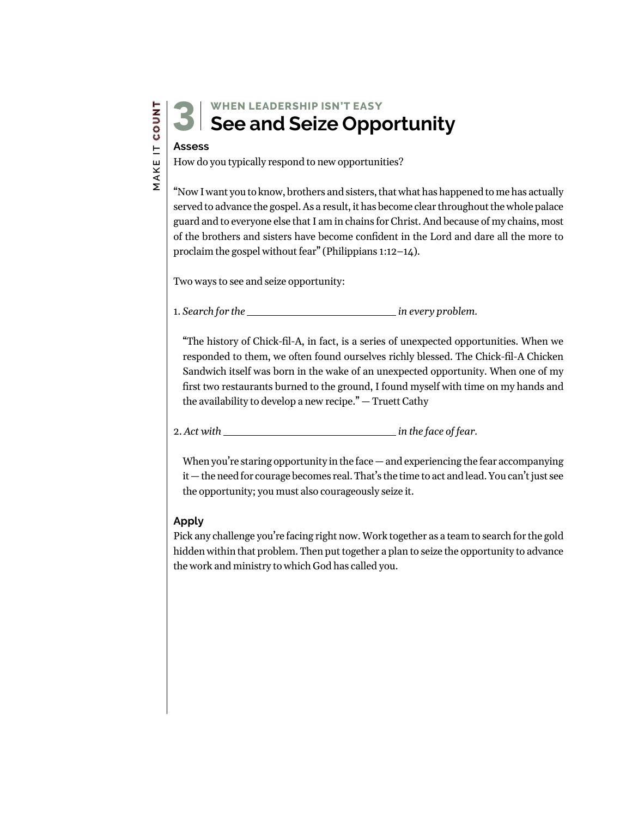### **WHEN LEADERSHIP ISN'T EA**SY **See and Seize Opportunity**

# **Assess** 3

How do you typically respond to new opportunities?

"Now I want you to know, brothers and sisters, that what has happened to me has actually served to advance the gospel. As a result, it has become clear throughout the whole palace guard and to everyone else that I am in chains for Christ. And because of my chains, most of the brothers and sisters have become confident in the Lord and dare all the more to proclaim the gospel without fear" (Philippians 1:12–14).

Two ways to see and seize opportunity:

1. Search for the **interest and the interest of the intervalse of the search for the intervalse of the intervalse of the intervalse of the intervalse of the intervalse of the intervalse of the intervalse of the intervalse** 

"The history of Chick-fil-A, in fact, is a series of unexpected opportunities. When we responded to them, we often found ourselves richly blessed. The Chick-fil-A Chicken Sandwich itself was born in the wake of an unexpected opportunity. When one of my first two restaurants burned to the ground, I found myself with time on my hands and the availability to develop a new recipe." — Truett Cathy

2. *Act with in the face of fear.*

When you're staring opportunity in the face  $-$  and experiencing the fear accompanying it — the need for courage becomes real. That's the time to act and lead. You can't just see the opportunity; you must also courageously seize it.

#### **Apply**

Pick any challenge you're facing right now. Work together as a team to search for the gold hidden within that problem. Then put together a plan to seize the opportunity to advance the work and ministry to which God has called you.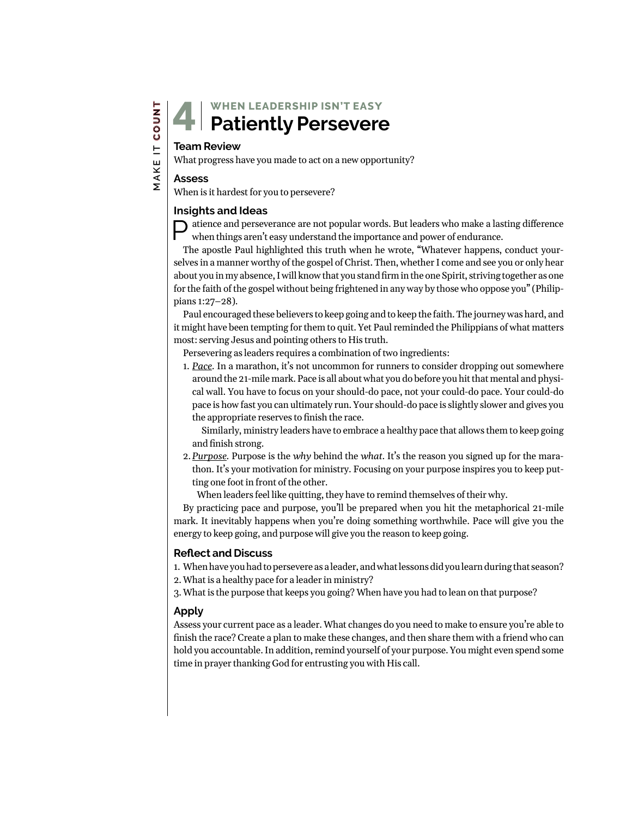## **Team Review** 4

What progress have you made to act on a new opportunity?

#### **Assess**

 **MAKE IT COUNT**

MAKE IT COUNT

When is it hardest for you to persevere?

#### **Insights and Ideas**

 $\bigcap$  atience and perseverance are not popular words. But leaders who make a lasting difference when things aren't easy understand the importance and power of endurance.

The apostle Paul highlighted this truth when he wrote, "Whatever happens, conduct yourselves in a manner worthy of the gospel of Christ. Then, whether I come and see you or only hear about you in my absence, I will know that you stand firmin the one Spirit, striving together as one for the faith of the gospel without being frightened in any way by those who oppose you" (Philippians 1:27–28).

Paul encouraged these believers to keep going and to keep the faith. The journey was hard, and it might have been tempting for them to quit. Yet Paul reminded the Philippians of what matters most: serving Jesus and pointing others to His truth.

Persevering as leaders requires a combination of two ingredients:

1. *Pace.* In a marathon, it's not uncommon for runners to consider dropping out somewhere around the 21-mile mark. Pace is all about what you do before you hit that mental and physical wall. You have to focus on your should-do pace, not your could-do pace. Your could-do pace is how fast you can ultimately run. Your should-do pace is slightly slower and gives you the appropriate reserves to finish the race.

Similarly, ministry leaders have to embrace a healthy pace that allows them to keep going and finish strong.

- 2.*Purpose.* Purpose is the *why* behind the *what*. It's the reason you signed up for the marathon. It's your motivation for ministry. Focusing on your purpose inspires you to keep putting one foot in front of the other.
	- When leaders feel like quitting, they have to remind themselves of their why.

By practicing pace and purpose, you'll be prepared when you hit the metaphorical 21-mile mark. It inevitably happens when you're doing something worthwhile. Pace will give you the energy to keep going, and purpose will give you the reason to keep going.

#### **Reflect and Discuss**

1. When have you had to persevere as a leader, and what lessons did you learn during that season? 2.What is a healthy pace for a leader in ministry?

3.What is the purpose that keeps you going? When have you had to lean on that purpose?

#### **Apply**

Assess your current pace as a leader. What changes do you need to make to ensure you're able to finish the race? Create a plan to make these changes, and then share them with a friend who can hold you accountable. In addition, remind yourself of your purpose. You might even spend some time in prayer thanking God for entrusting you with His call.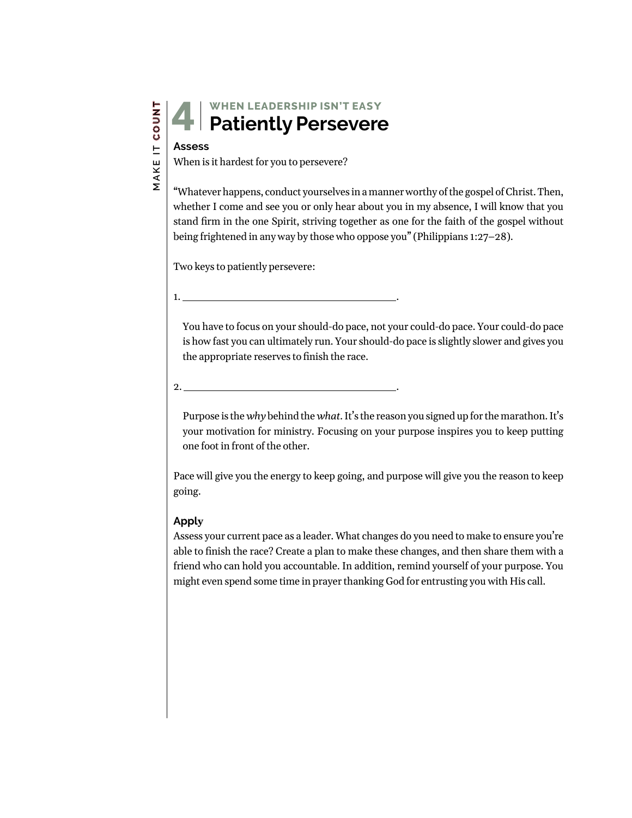### **WHEN LEADERSHIP ISN'T EA**SY **Patiently Persevere**

# **Assess** 4

When is it hardest for you to persevere?

"Whatever happens, conduct yourselves in a manner worthy of the gospel of Christ. Then, whether I come and see you or only hear about you in my absence, I will know that you stand firm in the one Spirit, striving together as one for the faith of the gospel without being frightened in any way by those who oppose you" (Philippians 1:27–28).

Two keys to patiently persevere:

1. .

You have to focus on your should-do pace, not your could-do pace. Your could-do pace is how fast you can ultimately run. Your should-do pace is slightly slower and gives you the appropriate reserves to finish the race.

2. .

Purpose is the *why* behind the *what*. It's the reason you signed up for the marathon. It's your motivation for ministry. Focusing on your purpose inspires you to keep putting one foot in front of the other.

Pace will give you the energy to keep going, and purpose will give you the reason to keep going.

#### **Apply**

Assess your current pace as a leader. What changes do you need to make to ensure you're able to finish the race? Create a plan to make these changes, and then share them with a friend who can hold you accountable. In addition, remind yourself of your purpose. You might even spend some time in prayer thanking God for entrusting you with His call.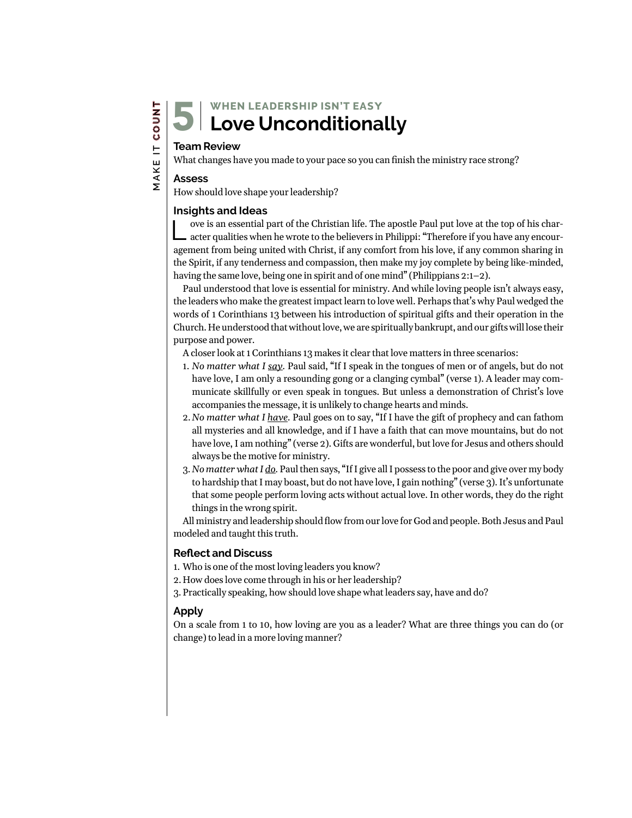### **WHEN LEADERSHIP ISN'T EA**SY **Love Unconditionally**

# **Team Review** 5

What changes have you made to your pace so you can finish the ministry race strong?

#### **Assess**

 **MAKE IT COUNT**

MAKE IT COUNT

How should love shape your leadership?

#### **Insights and Ideas**

Love is an essential part of the Christian life. The apostle Paul put love at the top of his char-acter qualities when he wrote to the believers in Philippi: "Therefore if you have any encouragement from being united with Christ, if any comfort from his love, if any common sharing in the Spirit, if any tenderness and compassion, then make my joy complete by being like-minded, having the same love, being one in spirit and of one mind" (Philippians 2:1–2).

Paul understood that love is essential for ministry. And while loving people isn't always easy, the leaders who make the greatest impact learn to love well. Perhaps that's why Paul wedged the words of 1 Corinthians 13 between his introduction of spiritual gifts and their operation in the Church. He understood that without love, we are spiritually bankrupt, and our gifts will lose their purpose and power.

A closer look at 1 Corinthians 13 makes it clear that love matters in three scenarios:

- 1. *No matter what I say.* Paul said, "If I speak in the tongues of men or of angels, but do not have love, I am only a resounding gong or a clanging cymbal" (verse 1). A leader may communicate skillfully or even speak in tongues. But unless a demonstration of Christ's love accompanies the message, it is unlikely to change hearts and minds.
- 2.*No matter what I have.* Paul goes on to say, "If I have the gift of prophecy and can fathom all mysteries and all knowledge, and if I have a faith that can move mountains, but do not have love, I am nothing" (verse 2). Gifts are wonderful, but love for Jesus and others should always be the motive for ministry.
- 3. *No matter what I do.* Paul then says, "If I give all I possess to the poor and give over my body to hardship that I may boast, but do not have love, I gain nothing" (verse 3). It's unfortunate that some people perform loving acts without actual love. In other words, they do the right things in the wrong spirit.

All ministry and leadership should flow from our love for God and people. Both Jesus and Paul modeled and taught this truth.

#### **Reflect and Discuss**

- 1. Who is one of the most loving leaders you know?
- 2. How does love come through in his or her leadership?
- 3. Practically speaking, how should love shape what leaders say, have and do?

#### **Apply**

On a scale from 1 to 10, how loving are you as a leader? What are three things you can do (or change) to lead in a more loving manner?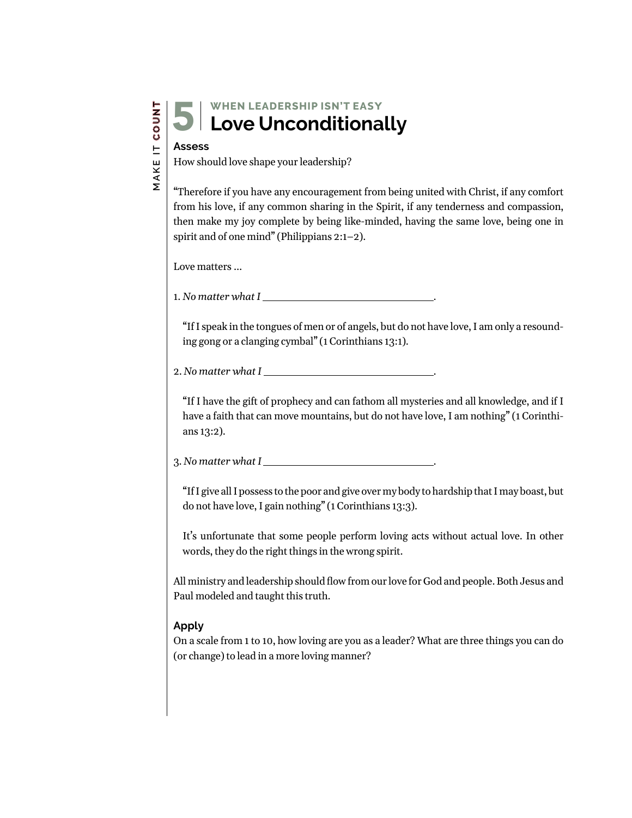#### **WHEN LEADERSHIP ISN'T EA**SY **Love Unconditionally** 5

#### **Assess**

How should love shape your leadership?

"Therefore if you have any encouragement from being united with Christ, if any comfort from his love, if any common sharing in the Spirit, if any tenderness and compassion, then make my joy complete by being like-minded, having the same love, being one in spirit and of one mind" (Philippians 2:1–2).

Love matters …

1. *No matter what I* .

"If I speak in the tongues of men or of angels, but do not have love, I am only a resounding gong or a clanging cymbal" (1 Corinthians 13:1).

2. No matter what I

"If I have the gift of prophecy and can fathom all mysteries and all knowledge, and if I have a faith that can move mountains, but do not have love, I am nothing" (1 Corinthians 13:2).

3. *No matter what I* .

"If I give all I possess to the poor and give over my body to hardship that I may boast, but do not have love, I gain nothing" (1 Corinthians 13:3).

It's unfortunate that some people perform loving acts without actual love. In other words, they do the right things in the wrong spirit.

All ministry and leadership should flow from our love for God and people. Both Jesus and Paul modeled and taught this truth.

#### **Apply**

On a scale from 1 to 10, how loving are you as a leader? What are three things you can do (or change) to lead in a more loving manner?

MAKE IT COUNT  **MAKE IT COUNT**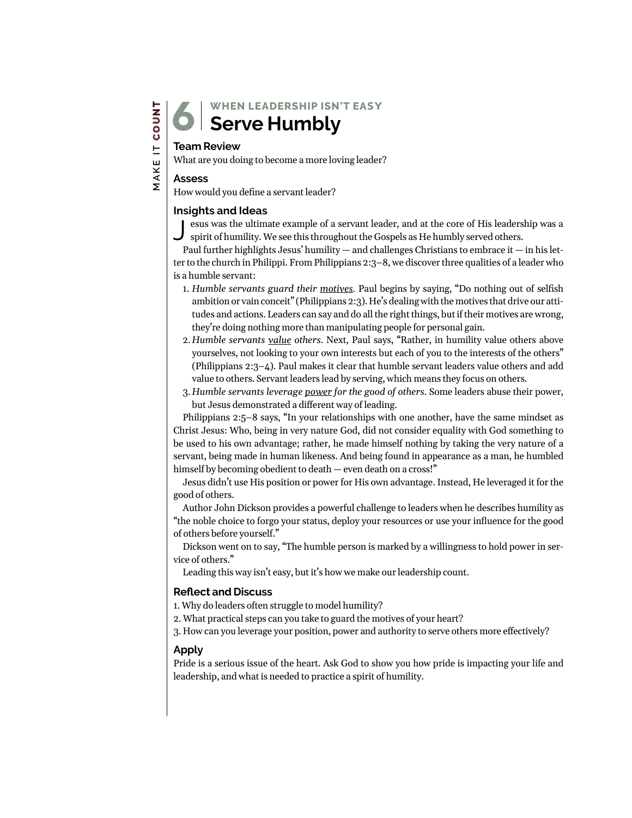### **Serve Humbly** 6

#### **Team Review**

What are you doing to become a more loving leader?

#### **Assess**

How would you define a servant leader?

#### **Insights and Ideas**

esus was the ultimate example of a servant leader, and at the core of His leadership was a spirit of humility. We see this throughout the Gospels as He humbly served others.

Paul further highlights Jesus' humility  $-$  and challenges Christians to embrace it  $-$  in his letter to the church in Philippi. From Philippians 2:3–8, we discover three qualities of a leader who is a humble servant:

- 1. *Humble servants guard their motives.* Paul begins by saying, "Do nothing out of selfish ambition or vain conceit" (Philippians 2:3). He's dealing with the motives that drive our attitudes and actions. Leaders can say and do all the right things, but if their motives are wrong, they're doing nothing more than manipulating people for personal gain.
- 2. *Humble servants value others.* Next, Paul says, "Rather, in humility value others above yourselves, not looking to your own interests but each of you to the interests of the others" (Philippians 2:3–4). Paul makes it clear that humble servant leaders value others and add value to others. Servant leaders lead by serving, which means they focus on others.
- 3. *Humble servants leverage power for the good of others.* Some leaders abuse their power, but Jesus demonstrated a different way of leading.

Philippians 2:5–8 says, "In your relationships with one another, have the same mindset as Christ Jesus: Who, being in very nature God, did not consider equality with God something to be used to his own advantage; rather, he made himself nothing by taking the very nature of a servant, being made in human likeness. And being found in appearance as a man, he humbled himself by becoming obedient to death — even death on a cross!"

Jesus didn't use His position or power for His own advantage. Instead, He leveraged it for the good of others.

Author John Dickson provides a powerful challenge to leaders when he describes humility as "the noble choice to forgo your status, deploy your resources or use your influence for the good of others before yourself."

Dickson went on to say, "The humble person is marked by a willingness to hold power in service of others."

Leading this way isn't easy, but it's how we make our leadership count.

#### **Reflect and Discuss**

1. Why do leaders often struggle to model humility?

2. What practical steps can you take to guard the motives of your heart?

3. How can you leverage your position, power and authority to serve others more effectively?

#### **Apply**

Pride is a serious issue of the heart. Ask God to show you how pride is impacting your life and leadership, and what is needed to practice a spirit of humility.

MAKE IT COUNT  **MAKE IT COUNT**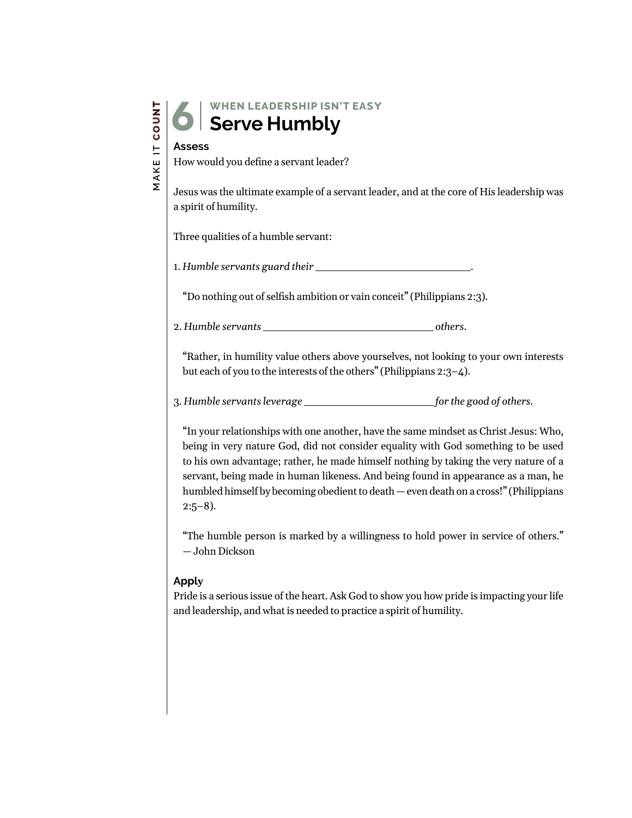| z                             |
|-------------------------------|
|                               |
| о                             |
| ω                             |
| H                             |
| L<br>L                        |
| $\overline{\phantom{0}}$<br>1 |
|                               |
| J                             |
|                               |

**WHEN LEADERSHIP ISN'T EA**SY **Serve Humbly**

# **Assess** 6

How would you define a servant leader?

Jesus was the ultimate example of a servant leader, and at the core of His leadership was a spirit of humility.

Three qualities of a humble servant:

1. *Humble servants guard their* .

"Do nothing out of selfish ambition or vain conceit" (Philippians 2:3).

2. *Humble servants <u>others</u>.* 

"Rather, in humility value others above yourselves, not looking to your own interests but each of you to the interests of the others" (Philippians 2:3–4).

3. Humble servants leverage  $\frac{1}{\sqrt{2\pi}}$  for the good of others.

"In your relationships with one another, have the same mindset as Christ Jesus: Who, being in very nature God, did not consider equality with God something to be used to his own advantage; rather, he made himself nothing by taking the very nature of a servant, being made in human likeness. And being found in appearance as a man, he humbled himself by becoming obedient to death — even death on a cross!" (Philippians  $2:5-8$ ).

"The humble person is marked by a willingness to hold power in service of others." — John Dickson

#### **Apply**

Pride is a serious issue of the heart. Ask God to show you how pride is impacting your life and leadership, and what is needed to practice a spirit of humility.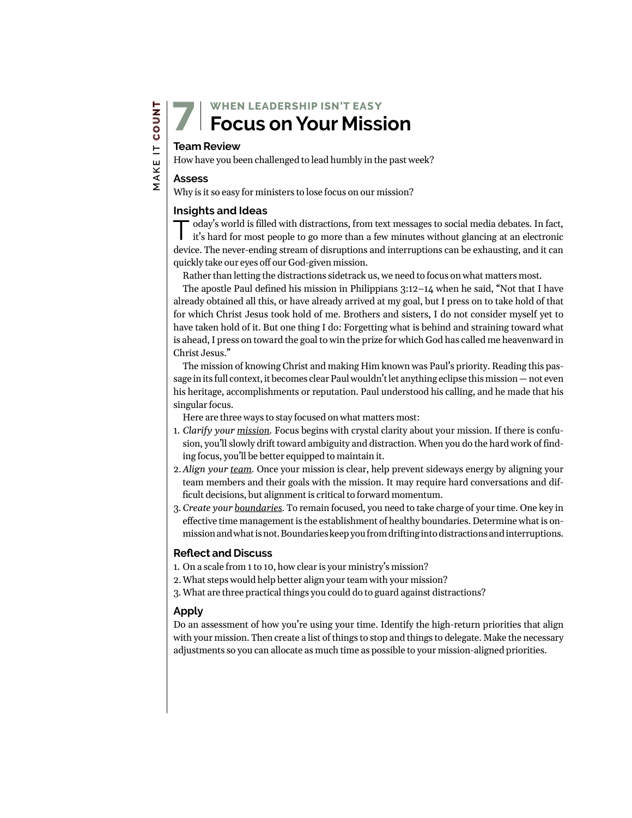**WHEN LEADERSHIP ISN'T EA**SY **Focus on Your Mission**

## **Team Review** 7

How have you been challenged to lead humbly in the past week?

#### **Assess**

 **MAKE IT COUNT**

**MAKE IT COUNT** 

Why is it so easy for ministers to lose focus on our mission?

#### **Insights and Ideas**

oday's world is filled with distractions, from text messages to social media debates. In fact, it's hard for most people to go more than a few minutes without glancing at an electronic device. The never-ending stream of disruptions and interruptions can be exhausting, and it can quickly take our eyes off our God-given mission.

Rather than letting the distractions sidetrack us, we need to focus on what matters most.

The apostle Paul defined his mission in Philippians  $3:12-14$  when he said, "Not that I have already obtained all this, or have already arrived at my goal, but I press on to take hold of that for which Christ Jesus took hold of me. Brothers and sisters, I do not consider myself yet to have taken hold of it. But one thing I do: Forgetting what is behind and straining toward what is ahead, I press on toward the goal to win the prize for which God has called me heavenward in Christ Jesus."

The mission of knowing Christ and making Him known was Paul's priority. Reading this passage in its full context, it becomes clear Paul wouldn't let anything eclipse this mission — not even his heritage, accomplishments or reputation. Paul understood his calling, and he made that his singular focus.

Here are three ways to stay focused on what matters most:

- 1. *Clarify your mission.* Focus begins with crystal clarity about your mission. If there is confusion, you'll slowly drift toward ambiguity and distraction. When you do the hard work of finding focus, you'll be better equipped to maintain it.
- 2.*Align your team.* Once your mission is clear, help prevent sideways energy by aligning your team members and their goals with the mission. It may require hard conversations and difficult decisions, but alignment is critical to forward momentum.
- 3.*Create your boundaries.* To remain focused, you need to take charge of your time. One key in effective time management is the establishment of healthy boundaries. Determine what is onmission and what is not. Boundaries keep you from drifting into distractions and interruptions.

#### **Reflect and Discuss**

- 1. On a scale from 1 to 10, how clear is your ministry's mission?
- 2.What steps would help better align your team with your mission?
- 3.What are three practical things you could do to guard against distractions?

#### **Apply**

Do an assessment of how you're using your time. Identify the high-return priorities that align with your mission. Then create a list of things to stop and things to delegate. Make the necessary adjustments so you can allocate as much time as possible to your mission-aligned priorities.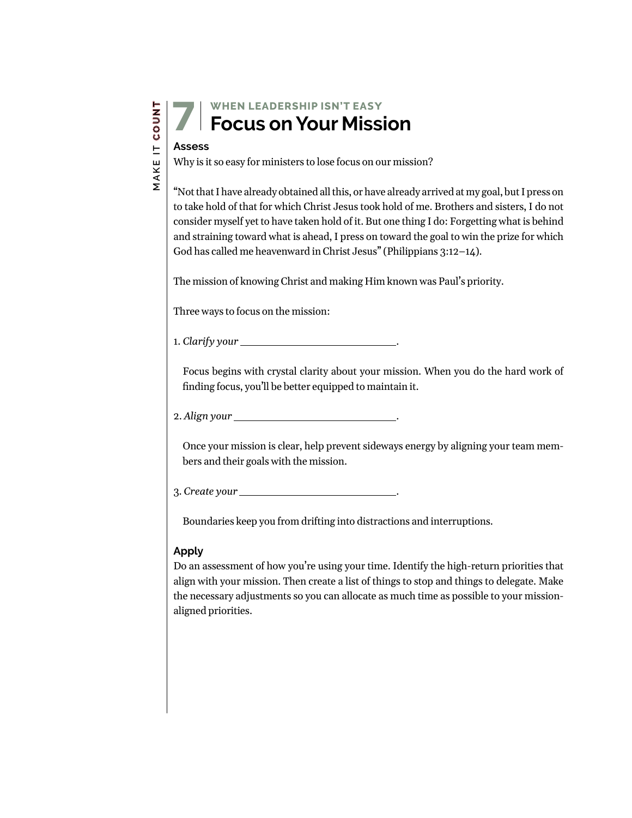### **WHEN LEADERSHIP ISN'T EA**SY **Focus on Your Mission**

# **Assess** 7

Why is it so easy for ministers to lose focus on our mission?

"Not that I have already obtained all this, or have already arrived at my goal, but I press on to take hold of that for which Christ Jesus took hold of me. Brothers and sisters, I do not consider myself yet to have taken hold of it. But one thing I do: Forgetting what is behind and straining toward what is ahead, I press on toward the goal to win the prize for which God has called me heavenward in Christ Jesus" (Philippians 3:12–14).

The mission of knowing Christ and making Him known was Paul's priority.

Three ways to focus on the mission:

1. *Clarify your* .

Focus begins with crystal clarity about your mission. When you do the hard work of finding focus, you'll be better equipped to maintain it.

2. *Align your* .

Once your mission is clear, help prevent sideways energy by aligning your team members and their goals with the mission.

3. *Create your* .

Boundaries keep you from drifting into distractions and interruptions.

#### **Apply**

Do an assessment of how you're using your time. Identify the high-return priorities that align with your mission. Then create a list of things to stop and things to delegate. Make the necessary adjustments so you can allocate as much time as possible to your missionaligned priorities.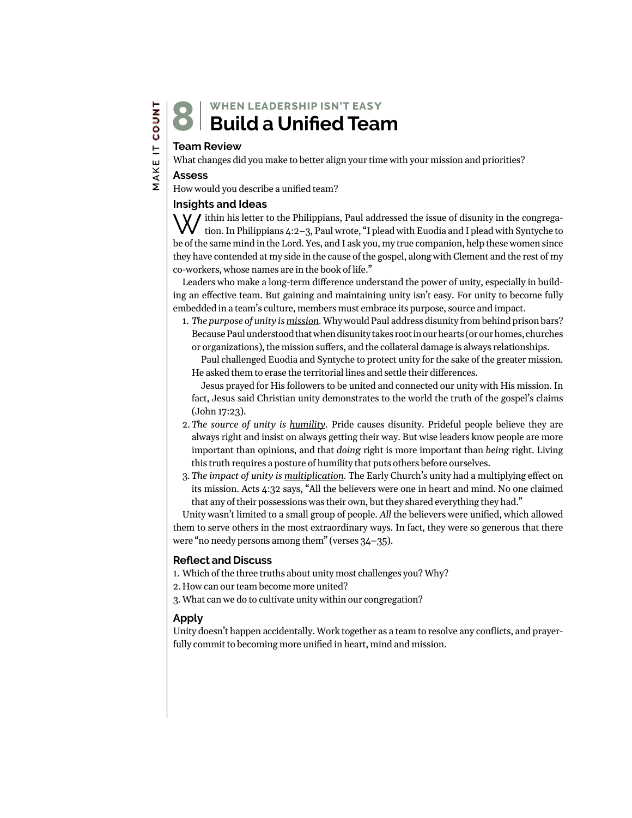#### **WHEN LEADERSHIP ISN'T EA**SY **Build a Unified Team** 8

#### **Team Review**

What changes did you make to better align your time with your mission and priorities?

#### **Assess**

How would you describe a unified team?

#### **Insights and Ideas**

W ithin his letter to the Philippians, Paul addressed the issue of disunity in the congregation. In Philippians 4:2–3, Paul wrote, "I plead with Euodia and I plead with Syntyche to be of the same mind in the Lord. Yes, and I ask you, my true companion, help these women since they have contended at my side in the cause of the gospel, along with Clement and the rest of my co-workers, whose names are in the book of life."

Leaders who make a long-term difference understand the power of unity, especially in building an effective team. But gaining and maintaining unity isn't easy. For unity to become fully embedded in a team's culture, members must embrace its purpose, source and impact.

1. *The purpose of unity is mission.* Why would Paul address disunity from behind prison bars? Because Paul understood that when disunity takes root in our hearts (or our homes, churches or organizations), the mission suffers, and the collateral damage is always relationships.

Paul challenged Euodia and Syntyche to protect unity for the sake of the greater mission. He asked them to erase the territorial lines and settle their differences.

Jesus prayed for His followers to be united and connected our unity with His mission. In fact, Jesus said Christian unity demonstrates to the world the truth of the gospel's claims (John 17:23).

- 2.*The source of unity is humility.* Pride causes disunity. Prideful people believe they are always right and insist on always getting their way. But wise leaders know people are more important than opinions, and that *doing* right is more important than *being* right. Living this truth requires a posture of humility that puts others before ourselves.
- 3. *The impact of unity is multiplication.* The Early Church's unity had a multiplying effect on its mission. Acts 4:32 says, "All the believers were one in heart and mind. No one claimed that any of their possessions was their own, but they shared everything they had."

Unity wasn't limited to a small group of people. *All* the believers were unified, which allowed them to serve others in the most extraordinary ways. In fact, they were so generous that there were "no needy persons among them" (verses 34–35).

#### **Reflect and Discuss**

1. Which of the three truths about unity most challenges you? Why?

2. How can our team become more united?

3.What can we do to cultivate unity within our congregation?

#### **Apply**

Unity doesn't happen accidentally. Work together as a team to resolve any conflicts, and prayerfully commit to becoming more unified in heart, mind and mission.

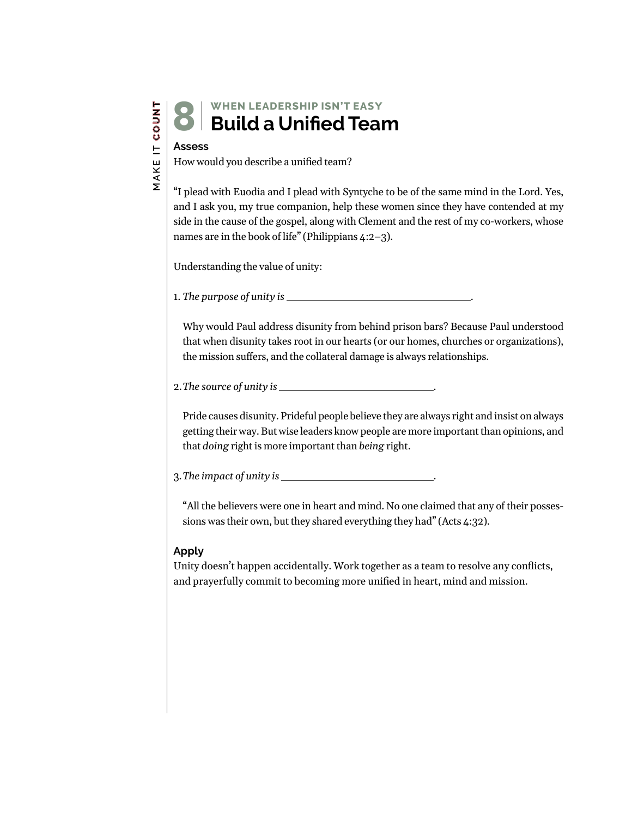#### **WHEN LEADERSHIP ISN'T EA**SY **Build a Unified Team** 8

#### **Assess**

How would you describe a unified team?

"I plead with Euodia and I plead with Syntyche to be of the same mind in the Lord. Yes, and I ask you, my true companion, help these women since they have contended at my side in the cause of the gospel, along with Clement and the rest of my co-workers, whose names are in the book of life" (Philippians 4:2–3).

Understanding the value of unity:

1. *The purpose of unity is* .

Why would Paul address disunity from behind prison bars? Because Paul understood that when disunity takes root in our hearts (or our homes, churches or organizations), the mission suffers, and the collateral damage is always relationships.

2.*The source of unity is* .

Pride causes disunity. Prideful people believe they are always right and insist on always getting their way. But wise leaders know people are more important than opinions, and that *doing* right is more important than *being* right.

3.*The impact of unity is* .

"All the believers were one in heart and mind. No one claimed that any of their possessions was their own, but they shared everything they had" (Acts 4:32).

#### **Apply**

Unity doesn't happen accidentally. Work together as a team to resolve any conflicts, and prayerfully commit to becoming more unified in heart, mind and mission.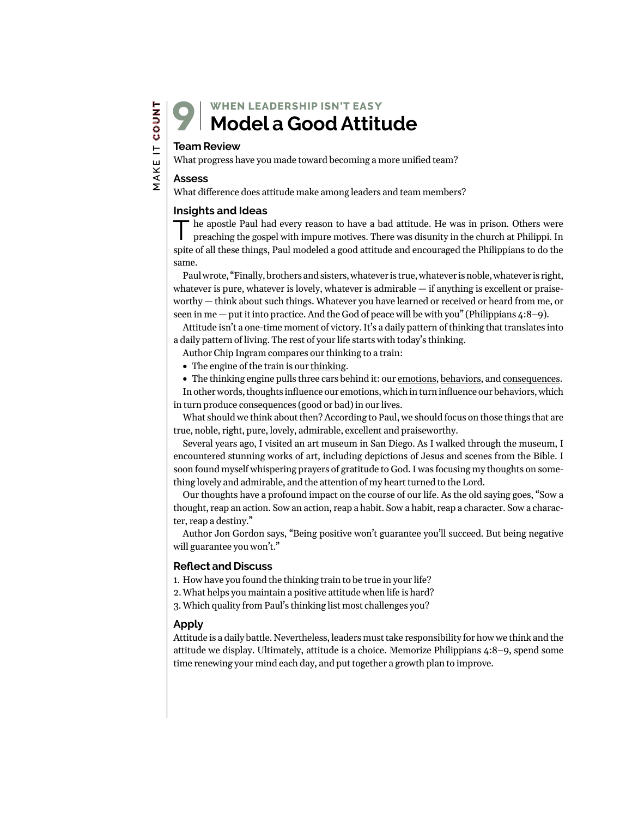## **Team Review** 9

What progress have you made toward becoming a more unified team?

#### **Assess**

 **MAKE IT COUNT**

MAKE IT COUNT

What difference does attitude make among leaders and team members?

#### **Insights and Ideas**

he apostle Paul had every reason to have a bad attitude. He was in prison. Others were preaching the gospel with impure motives. There was disunity in the church at Philippi. In spite of all these things, Paul modeled a good attitude and encouraged the Philippians to do the same.

Paul wrote, "Finally, brothers and sisters, whatever is true, whatever is noble, whatever is right, whatever is pure, whatever is lovely, whatever is admirable  $-$  if anything is excellent or praiseworthy — think about such things. Whatever you have learned or received or heard from me, or seen in me — put it into practice. And the God of peace will be with you" (Philippians  $\frac{4:8-9}{2}$ ).

Attitude isn't a one-time moment of victory. It's a daily pattern of thinking that translates into a daily pattern of living. The rest of your life starts with today's thinking.

Author Chip Ingram compares our thinking to a train:

- The engine of the train is our thinking.
- The thinking engine pulls three cars behind it: our emotions, behaviors, and consequences.

In other words, thoughts influence our emotions, which in turn influence our behaviors, which in turn produce consequences (good or bad) in our lives.

What should we think about then? According to Paul, we should focus on those things that are true, noble, right, pure, lovely, admirable, excellent and praiseworthy.

Several years ago, I visited an art museum in San Diego. As I walked through the museum, I encountered stunning works of art, including depictions of Jesus and scenes from the Bible. I soon found myself whispering prayers of gratitude to God. I was focusing my thoughts on something lovely and admirable, and the attention of my heart turned to the Lord.

Our thoughts have a profound impact on the course of our life. As the old saying goes, "Sow a thought, reap an action. Sow an action, reap a habit. Sow a habit, reap a character. Sow a character, reap a destiny."

Author Jon Gordon says, "Being positive won't guarantee you'll succeed. But being negative will guarantee you won't."

#### **Reflect and Discuss**

1. How have you found the thinking train to be true in your life?

2.What helps you maintain a positive attitude when life is hard?

3.Which quality from Paul's thinking list most challenges you?

#### **Apply**

Attitude is a daily battle. Nevertheless, leaders must take responsibility for how we think and the attitude we display. Ultimately, attitude is a choice. Memorize Philippians 4:8–9, spend some time renewing your mind each day, and put together a growth plan to improve.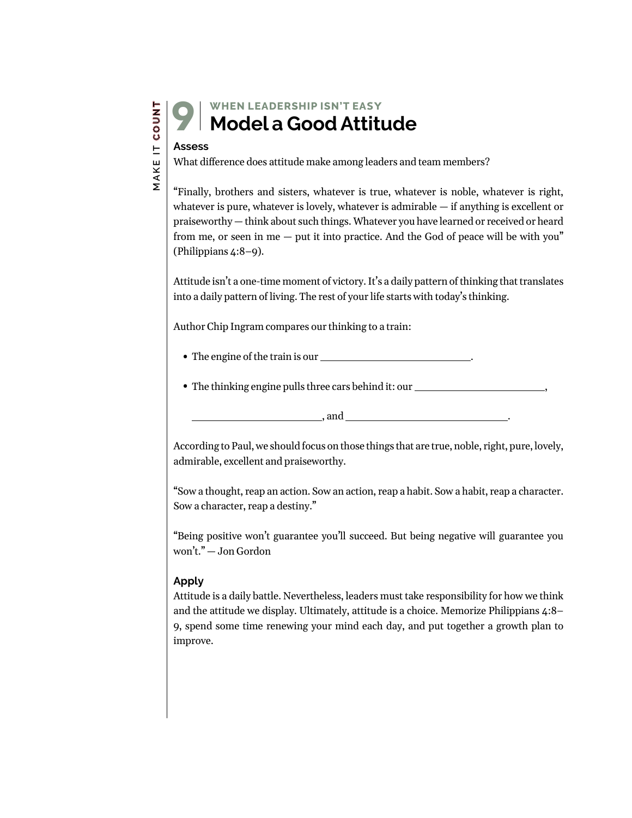### **WHEN LEADERSHIP ISN'T EA**SY **Model a Good Attitude**

# **Assess** 9

What difference does attitude make among leaders and team members?

"Finally, brothers and sisters, whatever is true, whatever is noble, whatever is right, whatever is pure, whatever is lovely, whatever is admirable — if anything is excellent or praiseworthy — think about such things. Whatever you have learned or received or heard from me, or seen in me — put it into practice. And the God of peace will be with you" (Philippians 4:8–9).

Attitude isn't a one-time moment of victory. It's a daily pattern of thinking that translates into a daily pattern of living. The rest of your life starts with today's thinking.

Author Chip Ingram compares our thinking to a train:

- The engine of the train is our .
- The thinking engine pulls three cars behind it: our \_\_\_\_\_\_\_\_\_\_\_\_\_\_\_\_\_\_\_\_\_\_\_\_\_\_\_

, and .

According to Paul, we should focus on those things that are true, noble, right, pure, lovely, admirable, excellent and praiseworthy.

"Sow a thought, reap an action. Sow an action, reap a habit. Sow a habit, reap a character. Sow a character, reap a destiny."

"Being positive won't guarantee you'll succeed. But being negative will guarantee you won't." — Jon Gordon

#### **Apply**

Attitude is a daily battle. Nevertheless, leaders must take responsibility for how we think and the attitude we display. Ultimately, attitude is a choice. Memorize Philippians 4:8– 9, spend some time renewing your mind each day, and put together a growth plan to improve.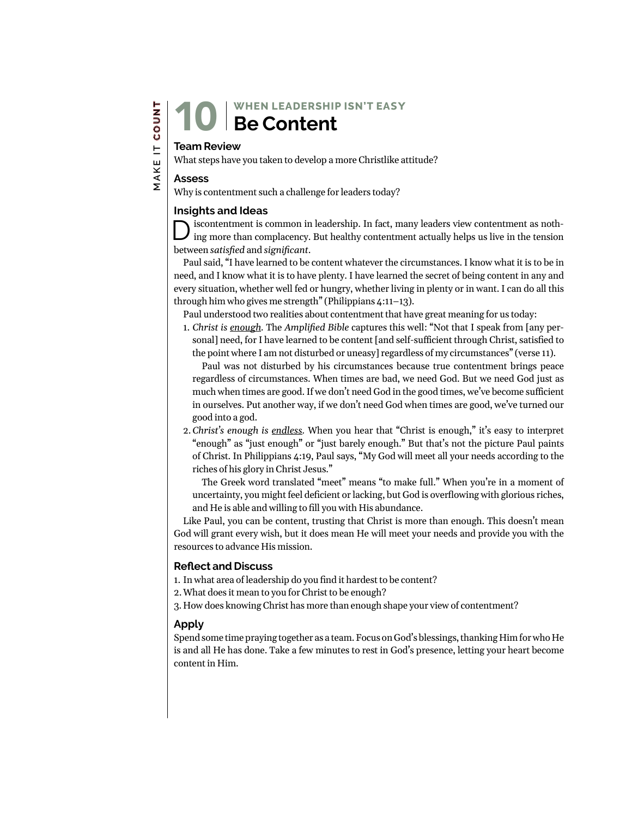#### **WHEN LEADERSHIP ISN'T EA**SY **Be Content** 10

#### **Team Review**

What steps have you taken to develop a more Christlike attitude?

#### **Assess**

Why is contentment such a challenge for leaders today?

#### **Insights and Ideas**

is contentment is common in leadership. In fact, many leaders view contentment as nothing more than complacency. But healthy contentment actually helps us live in the tension between *satisfied* and *significant*.

Paul said, "I have learned to be content whatever the circumstances. I know what it is to be in need, and I know what it is to have plenty. I have learned the secret of being content in any and every situation, whether well fed or hungry, whether living in plenty or in want. I can do all this through him who gives me strength" (Philippians 4:11–13).

Paul understood two realities about contentment that have great meaning for us today:

1. *Christ is enough.* The *Amplified Bible* captures this well: "Not that I speak from [any personal] need, for I have learned to be content [and self-sufficient through Christ, satisfied to the point where I am not disturbed or uneasy] regardless of my circumstances" (verse 11).

Paul was not disturbed by his circumstances because true contentment brings peace regardless of circumstances. When times are bad, we need God. But we need God just as much when times are good. If we don't need God in the good times, we've become sufficient in ourselves. Put another way, if we don't need God when times are good, we've turned our good into a god.

2.*Christ's enough is endless.* When you hear that "Christ is enough," it's easy to interpret "enough" as "just enough" or "just barely enough." But that's not the picture Paul paints of Christ. In Philippians 4:19, Paul says, "My God will meet all your needs according to the riches of his glory in Christ Jesus."

The Greek word translated "meet" means "to make full." When you're in a moment of uncertainty, you might feel deficient or lacking, but God is overflowing with glorious riches, and He is able and willing to fill you with His abundance.

Like Paul, you can be content, trusting that Christ is more than enough. This doesn't mean God will grant every wish, but it does mean He will meet your needs and provide you with the resources to advance His mission.

#### **Reflect and Discuss**

1. In what area of leadership do you find it hardest to be content?

2.What does it mean to you for Christ to be enough?

3. How does knowing Christ has more than enough shape your view of contentment?

#### **Apply**

Spend some time praying together as a team. Focus on God's blessings, thanking Him for who He is and all He has done. Take a few minutes to rest in God's presence, letting your heart become content in Him.